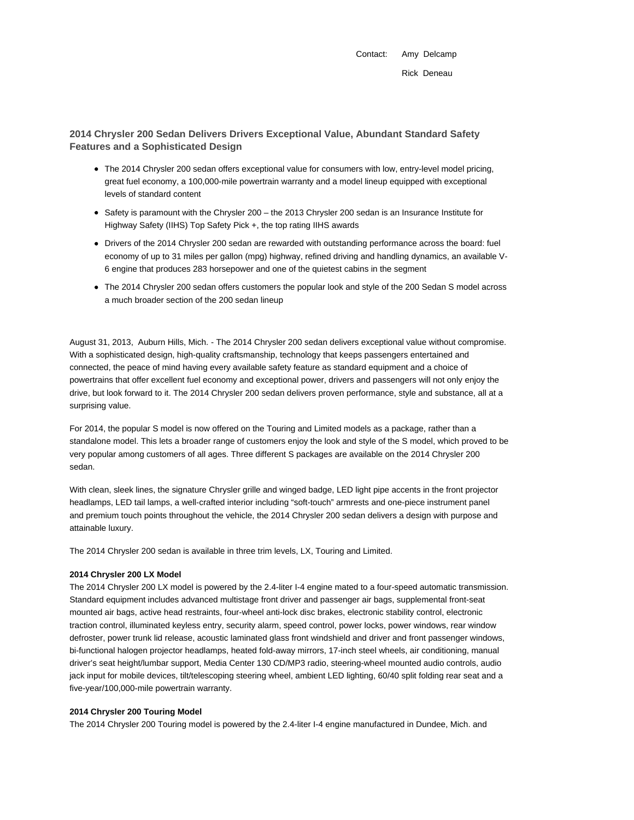Contact: Amy Delcamp Rick Deneau

# **2014 Chrysler 200 Sedan Delivers Drivers Exceptional Value, Abundant Standard Safety Features and a Sophisticated Design**

- The 2014 Chrysler 200 sedan offers exceptional value for consumers with low, entry-level model pricing, great fuel economy, a 100,000-mile powertrain warranty and a model lineup equipped with exceptional levels of standard content
- Safety is paramount with the Chrysler 200 the 2013 Chrysler 200 sedan is an Insurance Institute for Highway Safety (IIHS) Top Safety Pick +, the top rating IIHS awards
- Drivers of the 2014 Chrysler 200 sedan are rewarded with outstanding performance across the board: fuel economy of up to 31 miles per gallon (mpg) highway, refined driving and handling dynamics, an available V-6 engine that produces 283 horsepower and one of the quietest cabins in the segment
- The 2014 Chrysler 200 sedan offers customers the popular look and style of the 200 Sedan S model across a much broader section of the 200 sedan lineup

August 31, 2013, Auburn Hills, Mich. - The 2014 Chrysler 200 sedan delivers exceptional value without compromise. With a sophisticated design, high-quality craftsmanship, technology that keeps passengers entertained and connected, the peace of mind having every available safety feature as standard equipment and a choice of powertrains that offer excellent fuel economy and exceptional power, drivers and passengers will not only enjoy the drive, but look forward to it. The 2014 Chrysler 200 sedan delivers proven performance, style and substance, all at a surprising value.

For 2014, the popular S model is now offered on the Touring and Limited models as a package, rather than a standalone model. This lets a broader range of customers enjoy the look and style of the S model, which proved to be very popular among customers of all ages. Three different S packages are available on the 2014 Chrysler 200 sedan.

With clean, sleek lines, the signature Chrysler grille and winged badge, LED light pipe accents in the front projector headlamps, LED tail lamps, a well-crafted interior including "soft-touch" armrests and one-piece instrument panel and premium touch points throughout the vehicle, the 2014 Chrysler 200 sedan delivers a design with purpose and attainable luxury.

The 2014 Chrysler 200 sedan is available in three trim levels, LX, Touring and Limited.

# **2014 Chrysler 200 LX Model**

The 2014 Chrysler 200 LX model is powered by the 2.4-liter I-4 engine mated to a four-speed automatic transmission. Standard equipment includes advanced multistage front driver and passenger air bags, supplemental front-seat mounted air bags, active head restraints, four-wheel anti-lock disc brakes, electronic stability control, electronic traction control, illuminated keyless entry, security alarm, speed control, power locks, power windows, rear window defroster, power trunk lid release, acoustic laminated glass front windshield and driver and front passenger windows, bi-functional halogen projector headlamps, heated fold-away mirrors, 17-inch steel wheels, air conditioning, manual driver's seat height/lumbar support, Media Center 130 CD/MP3 radio, steering-wheel mounted audio controls, audio jack input for mobile devices, tilt/telescoping steering wheel, ambient LED lighting, 60/40 split folding rear seat and a five-year/100,000-mile powertrain warranty.

## **2014 Chrysler 200 Touring Model**

The 2014 Chrysler 200 Touring model is powered by the 2.4-liter I-4 engine manufactured in Dundee, Mich. and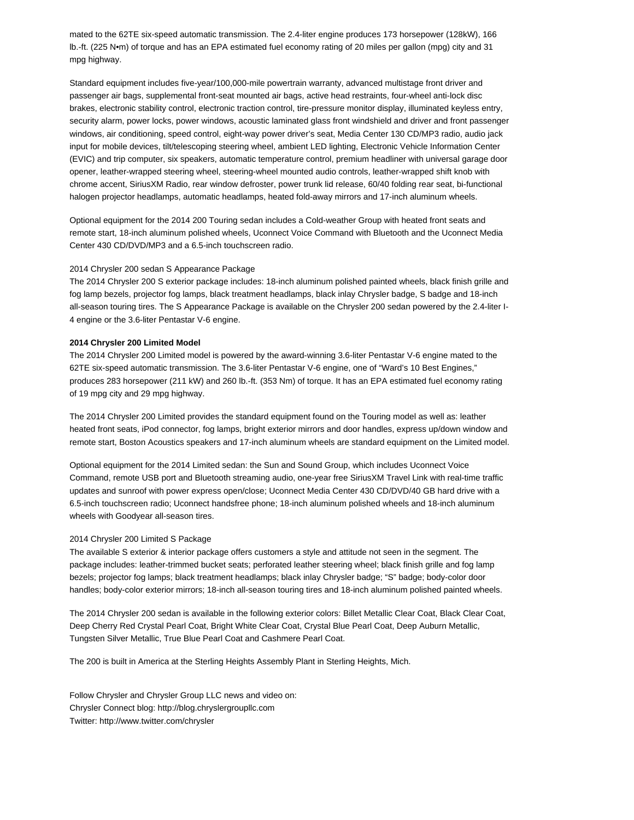mated to the 62TE six-speed automatic transmission. The 2.4-liter engine produces 173 horsepower (128kW), 166 lb.-ft. (225 N•m) of torque and has an EPA estimated fuel economy rating of 20 miles per gallon (mpg) city and 31 mpg highway.

Standard equipment includes five-year/100,000-mile powertrain warranty, advanced multistage front driver and passenger air bags, supplemental front-seat mounted air bags, active head restraints, four-wheel anti-lock disc brakes, electronic stability control, electronic traction control, tire-pressure monitor display, illuminated keyless entry, security alarm, power locks, power windows, acoustic laminated glass front windshield and driver and front passenger windows, air conditioning, speed control, eight-way power driver's seat, Media Center 130 CD/MP3 radio, audio jack input for mobile devices, tilt/telescoping steering wheel, ambient LED lighting, Electronic Vehicle Information Center (EVIC) and trip computer, six speakers, automatic temperature control, premium headliner with universal garage door opener, leather-wrapped steering wheel, steering-wheel mounted audio controls, leather-wrapped shift knob with chrome accent, SiriusXM Radio, rear window defroster, power trunk lid release, 60/40 folding rear seat, bi-functional halogen projector headlamps, automatic headlamps, heated fold-away mirrors and 17-inch aluminum wheels.

Optional equipment for the 2014 200 Touring sedan includes a Cold-weather Group with heated front seats and remote start, 18-inch aluminum polished wheels, Uconnect Voice Command with Bluetooth and the Uconnect Media Center 430 CD/DVD/MP3 and a 6.5-inch touchscreen radio.

#### 2014 Chrysler 200 sedan S Appearance Package

The 2014 Chrysler 200 S exterior package includes: 18-inch aluminum polished painted wheels, black finish grille and fog lamp bezels, projector fog lamps, black treatment headlamps, black inlay Chrysler badge, S badge and 18-inch all-season touring tires. The S Appearance Package is available on the Chrysler 200 sedan powered by the 2.4-liter I-4 engine or the 3.6-liter Pentastar V-6 engine.

### **2014 Chrysler 200 Limited Model**

The 2014 Chrysler 200 Limited model is powered by the award-winning 3.6-liter Pentastar V-6 engine mated to the 62TE six-speed automatic transmission. The 3.6-liter Pentastar V-6 engine, one of "Ward's 10 Best Engines," produces 283 horsepower (211 kW) and 260 lb.-ft. (353 Nm) of torque. It has an EPA estimated fuel economy rating of 19 mpg city and 29 mpg highway.

The 2014 Chrysler 200 Limited provides the standard equipment found on the Touring model as well as: leather heated front seats, iPod connector, fog lamps, bright exterior mirrors and door handles, express up/down window and remote start, Boston Acoustics speakers and 17-inch aluminum wheels are standard equipment on the Limited model.

Optional equipment for the 2014 Limited sedan: the Sun and Sound Group, which includes Uconnect Voice Command, remote USB port and Bluetooth streaming audio, one-year free SiriusXM Travel Link with real-time traffic updates and sunroof with power express open/close; Uconnect Media Center 430 CD/DVD/40 GB hard drive with a 6.5-inch touchscreen radio; Uconnect handsfree phone; 18-inch aluminum polished wheels and 18-inch aluminum wheels with Goodyear all-season tires.

### 2014 Chrysler 200 Limited S Package

The available S exterior & interior package offers customers a style and attitude not seen in the segment. The package includes: leather-trimmed bucket seats; perforated leather steering wheel; black finish grille and fog lamp bezels; projector fog lamps; black treatment headlamps; black inlay Chrysler badge; "S" badge; body-color door handles; body-color exterior mirrors; 18-inch all-season touring tires and 18-inch aluminum polished painted wheels.

The 2014 Chrysler 200 sedan is available in the following exterior colors: Billet Metallic Clear Coat, Black Clear Coat, Deep Cherry Red Crystal Pearl Coat, Bright White Clear Coat, Crystal Blue Pearl Coat, Deep Auburn Metallic, Tungsten Silver Metallic, True Blue Pearl Coat and Cashmere Pearl Coat.

The 200 is built in America at the Sterling Heights Assembly Plant in Sterling Heights, Mich.

Follow Chrysler and Chrysler Group LLC news and video on: Chrysler Connect blog: http://blog.chryslergroupllc.com Twitter: http://www.twitter.com/chrysler